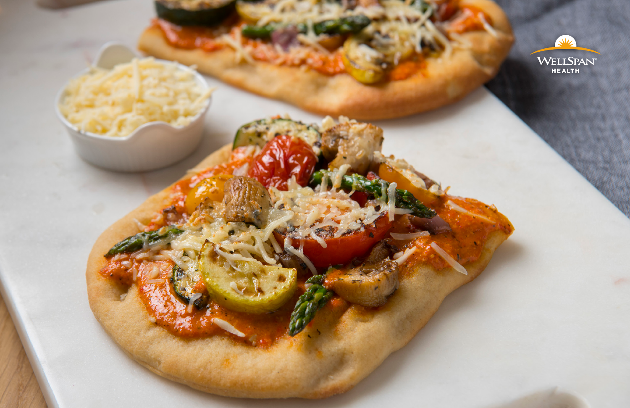